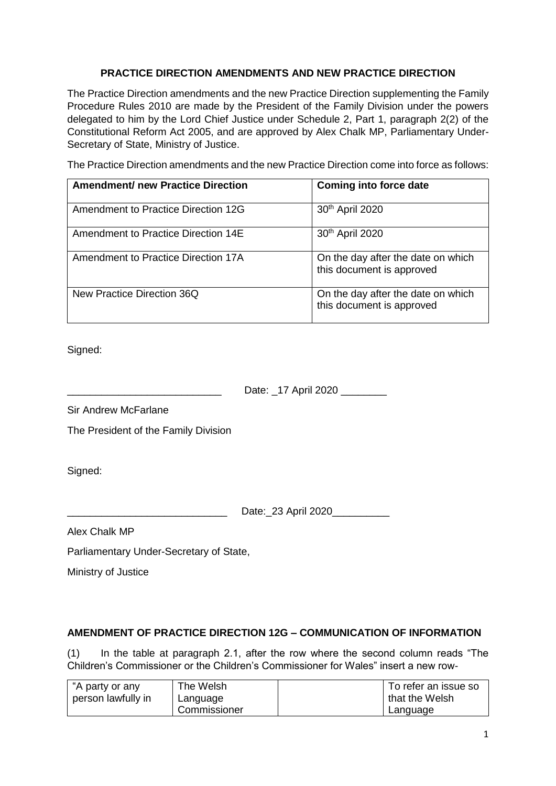## **PRACTICE DIRECTION AMENDMENTS AND NEW PRACTICE DIRECTION**

The Practice Direction amendments and the new Practice Direction supplementing the Family Procedure Rules 2010 are made by the President of the Family Division under the powers delegated to him by the Lord Chief Justice under Schedule 2, Part 1, paragraph 2(2) of the Constitutional Reform Act 2005, and are approved by Alex Chalk MP, Parliamentary Under-Secretary of State, Ministry of Justice.

The Practice Direction amendments and the new Practice Direction come into force as follows:

| <b>Amendment/ new Practice Direction</b> | <b>Coming into force date</b>                                   |
|------------------------------------------|-----------------------------------------------------------------|
| Amendment to Practice Direction 12G      | 30 <sup>th</sup> April 2020                                     |
| Amendment to Practice Direction 14E      | 30 <sup>th</sup> April 2020                                     |
| Amendment to Practice Direction 17A      | On the day after the date on which<br>this document is approved |
| New Practice Direction 36Q               | On the day after the date on which<br>this document is approved |

Signed:

Date: 17 April 2020

Sir Andrew McFarlane

The President of the Family Division

Signed:

Date:\_23 April 2020\_\_\_\_\_\_\_\_\_\_\_

Alex Chalk MP

Parliamentary Under-Secretary of State,

Ministry of Justice

# **AMENDMENT OF PRACTICE DIRECTION 12G – COMMUNICATION OF INFORMATION**

(1) In the table at paragraph 2.1, after the row where the second column reads "The Children's Commissioner or the Children's Commissioner for Wales" insert a new row-

| "A party or any    | The Welsh    | To refer an issue so |
|--------------------|--------------|----------------------|
| person lawfully in | Language     | that the Welsh       |
|                    | Commissioner | Language             |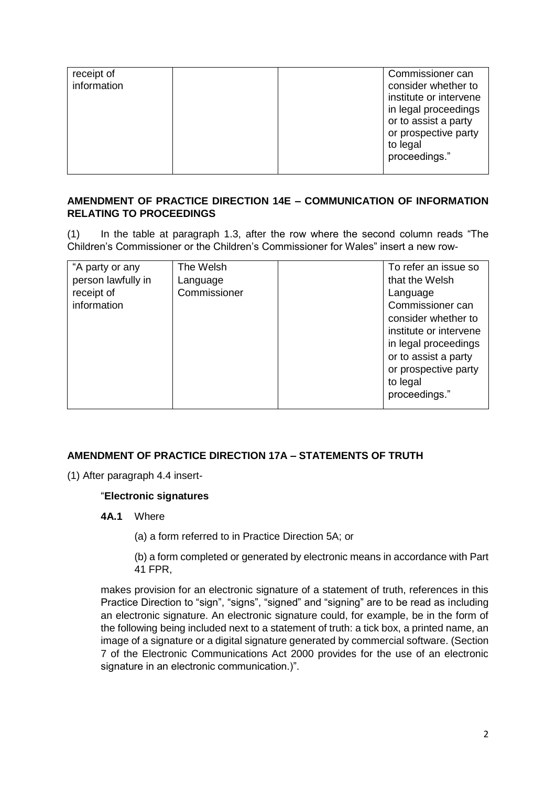| receipt of<br>information | Commissioner can<br>consider whether to<br>institute or intervene<br>in legal proceedings<br>or to assist a party<br>or prospective party<br>to legal<br>proceedings." |
|---------------------------|------------------------------------------------------------------------------------------------------------------------------------------------------------------------|
|---------------------------|------------------------------------------------------------------------------------------------------------------------------------------------------------------------|

### **AMENDMENT OF PRACTICE DIRECTION 14E – COMMUNICATION OF INFORMATION RELATING TO PROCEEDINGS**

(1) In the table at paragraph 1.3, after the row where the second column reads "The Children's Commissioner or the Children's Commissioner for Wales" insert a new row-

| "A party or any<br>The Welsh<br>person lawfully in<br>Language<br>Commissioner<br>receipt of<br>information | To refer an issue so<br>that the Welsh<br>Language<br>Commissioner can<br>consider whether to<br>institute or intervene<br>in legal proceedings<br>or to assist a party<br>or prospective party<br>to legal<br>proceedings." |
|-------------------------------------------------------------------------------------------------------------|------------------------------------------------------------------------------------------------------------------------------------------------------------------------------------------------------------------------------|
|-------------------------------------------------------------------------------------------------------------|------------------------------------------------------------------------------------------------------------------------------------------------------------------------------------------------------------------------------|

# **AMENDMENT OF PRACTICE DIRECTION 17A – STATEMENTS OF TRUTH**

(1) After paragraph 4.4 insert-

#### "**Electronic signatures**

**4A.1** Where

(a) a form referred to in Practice Direction 5A; or

(b) a form completed or generated by electronic means in accordance with Part 41 FPR,

makes provision for an electronic signature of a statement of truth, references in this Practice Direction to "sign", "signs", "signed" and "signing" are to be read as including an electronic signature. An electronic signature could, for example, be in the form of the following being included next to a statement of truth: a tick box, a printed name, an image of a signature or a digital signature generated by commercial software. (Section 7 of the Electronic Communications Act 2000 provides for the use of an electronic signature in an electronic communication.)".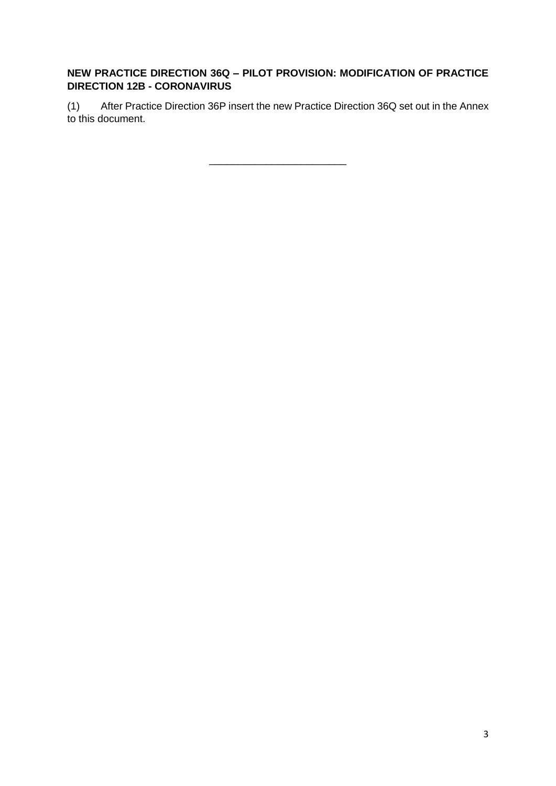# **NEW PRACTICE DIRECTION 36Q – PILOT PROVISION: MODIFICATION OF PRACTICE DIRECTION 12B - CORONAVIRUS**

(1) After Practice Direction 36P insert the new Practice Direction 36Q set out in the Annex to this document.

\_\_\_\_\_\_\_\_\_\_\_\_\_\_\_\_\_\_\_\_\_\_\_\_

3